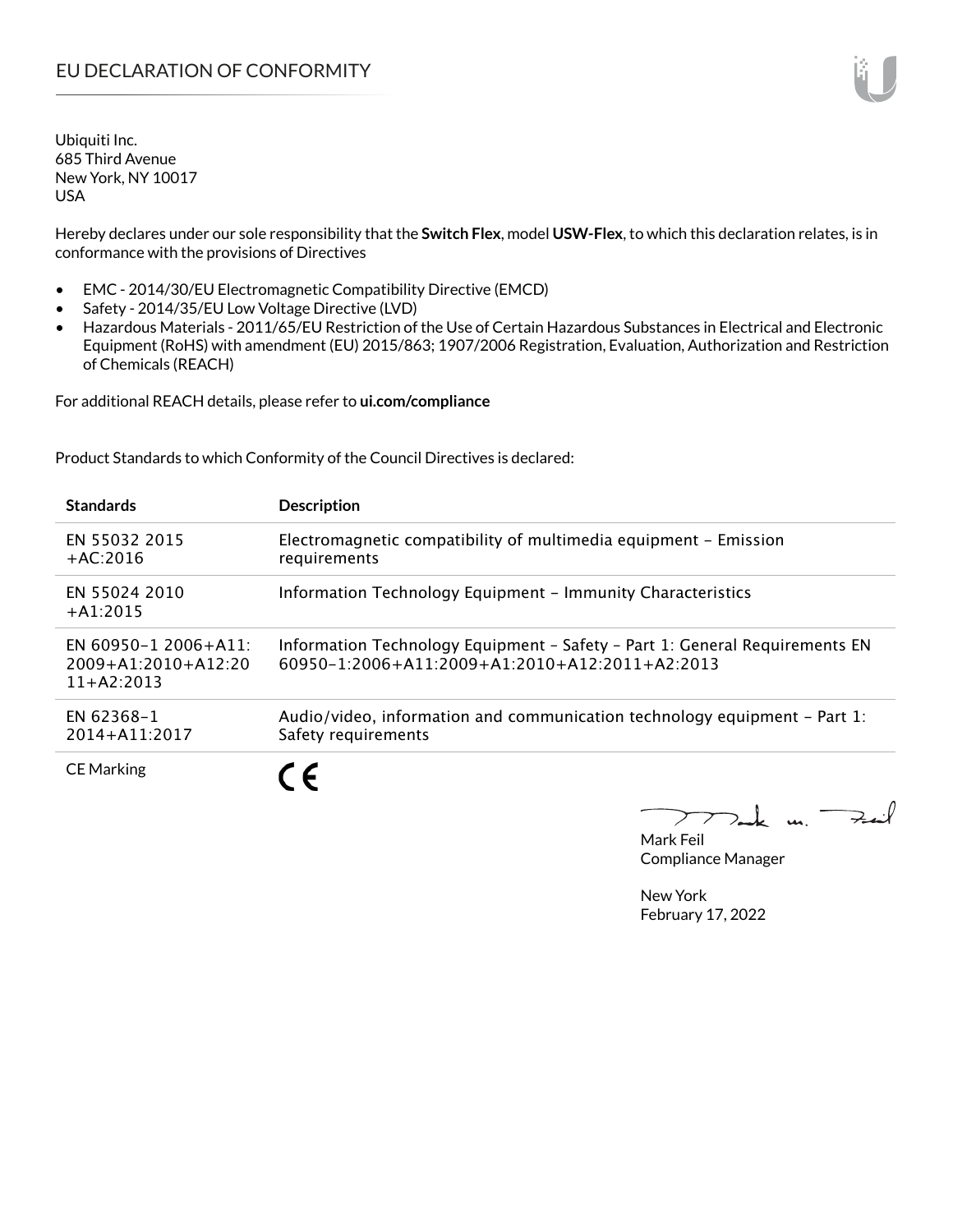Hereby declares under our sole responsibility that the **Switch Flex**, model **USW-Flex**, to which this declaration relates, is in conformance with the provisions of Directives

- EMC 2014/30/EU Electromagnetic Compatibility Directive (EMCD)
- Safety 2014/35/EU Low Voltage Directive (LVD)
- Hazardous Materials 2011/65/EU Restriction of the Use of Certain Hazardous Substances in Electrical and Electronic Equipment (RoHS) with amendment (EU) 2015/863; 1907/2006 Registration, Evaluation, Authorization and Restriction of Chemicals (REACH)

For additional REACH details, please refer to **ui.com/compliance**

Product Standards to which Conformity of the Council Directives is declared:

| <b>Standards</b>                                                  | <b>Description</b>                                                                                                                   |
|-------------------------------------------------------------------|--------------------------------------------------------------------------------------------------------------------------------------|
| EN 55032 2015<br>$+AC:2016$                                       | Electromagnetic compatibility of multimedia equipment - Emission<br>requirements                                                     |
| EN 55024 2010<br>$+A1:2015$                                       | Information Technology Equipment - Immunity Characteristics                                                                          |
| EN 60950-1 2006+A11:<br>$2009 + A1:2010 + A12:20$<br>$11+AA:2013$ | Information Technology Equipment - Safety - Part 1: General Requirements EN<br>$60950 - 12006 + A112009 + A12010 + A122011 + A22013$ |
| EN 62368-1<br>$2014 + A11:2017$                                   | Audio/video, information and communication technology equipment – Part 1:<br>Safety requirements                                     |
| <b>CE Marking</b>                                                 |                                                                                                                                      |

 $k$  un  $\rightarrow$  $\overline{\phantom{a}}$ 

Mark Feil Compliance Manager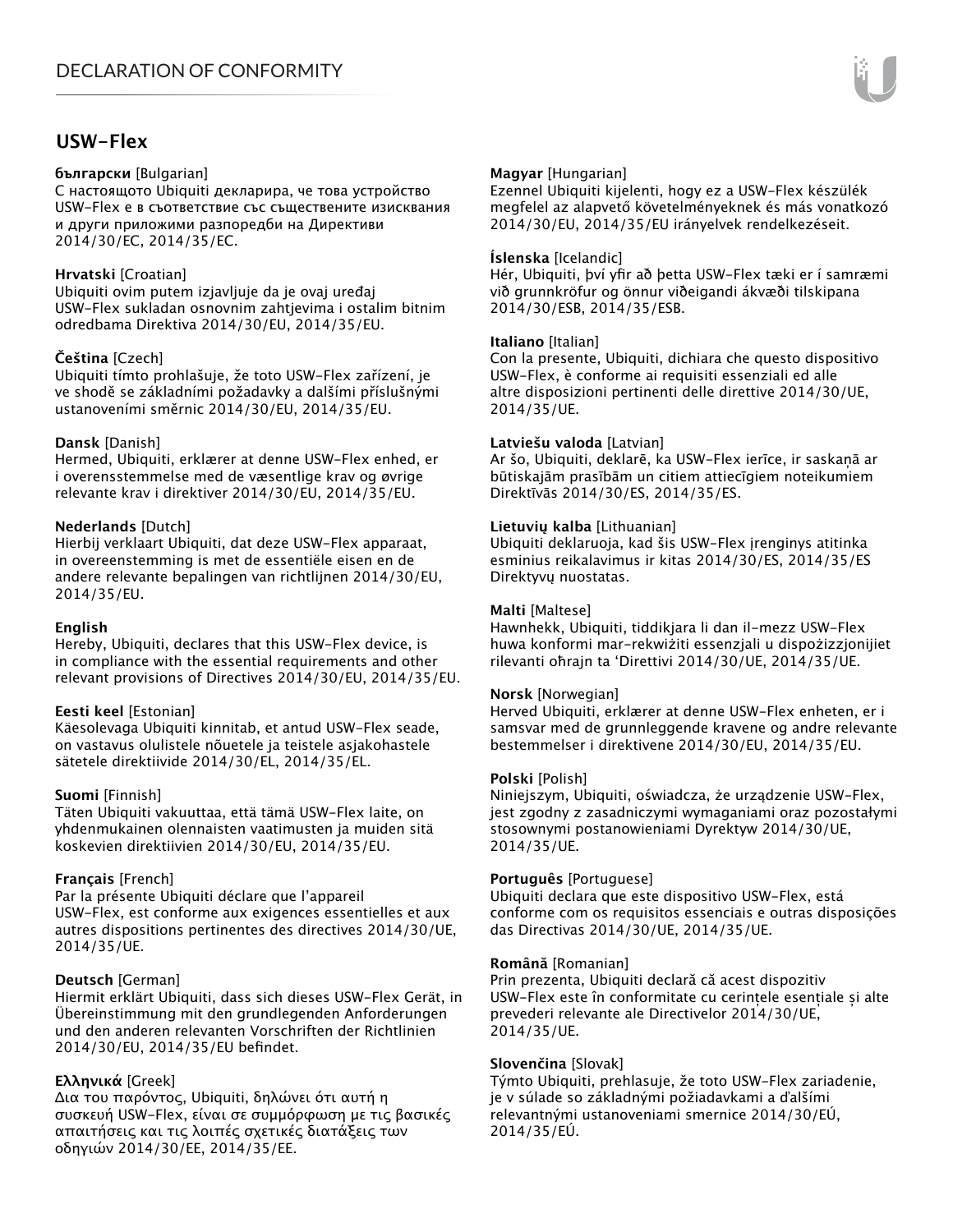# **USW-Flex**

#### **български** [Bulgarian]

С настоящото Ubiquiti декларира, че това устройство USW-Flex е в съответствие със съществените изисквания и други приложими разпоредби на Директиви 2014/30/ЕС, 2014/35/ЕС.

# **Hrvatski** [Croatian]

Ubiquiti ovim putem izjavljuje da je ovaj uređaj USW-Flex sukladan osnovnim zahtjevima i ostalim bitnim odredbama Direktiva 2014/30/EU, 2014/35/EU.

# **Čeština** [Czech]

Ubiquiti tímto prohlašuje, že toto USW-Flex zařízení, je ve shodě se základními požadavky a dalšími příslušnými ustanoveními směrnic 2014/30/EU, 2014/35/EU.

# **Dansk** [Danish]

Hermed, Ubiquiti, erklærer at denne USW-Flex enhed, er i overensstemmelse med de væsentlige krav og øvrige relevante krav i direktiver 2014/30/EU, 2014/35/EU.

# **Nederlands** [Dutch]

Hierbij verklaart Ubiquiti, dat deze USW-Flex apparaat, in overeenstemming is met de essentiële eisen en de andere relevante bepalingen van richtlijnen 2014/30/EU, 2014/35/EU.

# **English**

Hereby, Ubiquiti, declares that this USW-Flex device, is in compliance with the essential requirements and other relevant provisions of Directives 2014/30/EU, 2014/35/EU.

# **Eesti keel** [Estonian]

Käesolevaga Ubiquiti kinnitab, et antud USW-Flex seade, on vastavus olulistele nõuetele ja teistele asjakohastele sätetele direktiivide 2014/30/EL, 2014/35/EL.

# **Suomi** [Finnish]

Täten Ubiquiti vakuuttaa, että tämä USW-Flex laite, on yhdenmukainen olennaisten vaatimusten ja muiden sitä koskevien direktiivien 2014/30/EU, 2014/35/EU.

# **Français** [French]

Par la présente Ubiquiti déclare que l'appareil USW-Flex, est conforme aux exigences essentielles et aux autres dispositions pertinentes des directives 2014/30/UE, 2014/35/UE.

# **Deutsch** [German]

Hiermit erklärt Ubiquiti, dass sich dieses USW-Flex Gerät, in Übereinstimmung mit den grundlegenden Anforderungen und den anderen relevanten Vorschriften der Richtlinien 2014/30/EU, 2014/35/EU befindet.

# **Ελληνικά** [Greek]

Δια του παρόντος, Ubiquiti, δηλώνει ότι αυτή η συσκευή USW-Flex, είναι σε συμμόρφωση με τις βασικές απαιτήσεις και τις λοιπές σχετικές διατάξεις των οδηγιών 2014/30/EE, 2014/35/EE.

# **Magyar** [Hungarian]

Ezennel Ubiquiti kijelenti, hogy ez a USW-Flex készülék megfelel az alapvető követelményeknek és más vonatkozó 2014/30/EU, 2014/35/EU irányelvek rendelkezéseit.

# **Íslenska** [Icelandic]

Hér, Ubiquiti, því yfir að þetta USW-Flex tæki er í samræmi við grunnkröfur og önnur viðeigandi ákvæði tilskipana 2014/30/ESB, 2014/35/ESB.

# **Italiano** [Italian]

Con la presente, Ubiquiti, dichiara che questo dispositivo USW-Flex, è conforme ai requisiti essenziali ed alle altre disposizioni pertinenti delle direttive 2014/30/UE, 2014/35/UE.

#### **Latviešu valoda** [Latvian]

Ar šo, Ubiquiti, deklarē, ka USW-Flex ierīce, ir saskaņā ar būtiskajām prasībām un citiem attiecīgiem noteikumiem Direktīvās 2014/30/ES, 2014/35/ES.

# **Lietuvių kalba** [Lithuanian]

Ubiquiti deklaruoja, kad šis USW-Flex įrenginys atitinka esminius reikalavimus ir kitas 2014/30/ES, 2014/35/ES Direktyvų nuostatas.

#### **Malti** [Maltese]

Hawnhekk, Ubiquiti, tiddikjara li dan il-mezz USW-Flex huwa konformi mar-rekwiżiti essenzjali u dispożizzjonijiet rilevanti oħrajn ta 'Direttivi 2014/30/UE, 2014/35/UE.

#### **Norsk** [Norwegian]

Herved Ubiquiti, erklærer at denne USW-Flex enheten, er i samsvar med de grunnleggende kravene og andre relevante bestemmelser i direktivene 2014/30/EU, 2014/35/EU.

# **Polski** [Polish]

Niniejszym, Ubiquiti, oświadcza, że urządzenie USW-Flex, jest zgodny z zasadniczymi wymaganiami oraz pozostałymi stosownymi postanowieniami Dyrektyw 2014/30/UE, 2014/35/UE.

# **Português** [Portuguese]

Ubiquiti declara que este dispositivo USW-Flex, está conforme com os requisitos essenciais e outras disposições das Directivas 2014/30/UE, 2014/35/UE.

#### **Română** [Romanian]

Prin prezenta, Ubiquiti declară că acest dispozitiv USW-Flex este în conformitate cu cerințele esențiale și alte prevederi relevante ale Directivelor 2014/30/UE, 2014/35/UE.

# **Slovenčina** [Slovak]

Týmto Ubiquiti, prehlasuje, že toto USW-Flex zariadenie, je v súlade so základnými požiadavkami a ďalšími relevantnými ustanoveniami smernice 2014/30/EÚ, 2014/35/EÚ.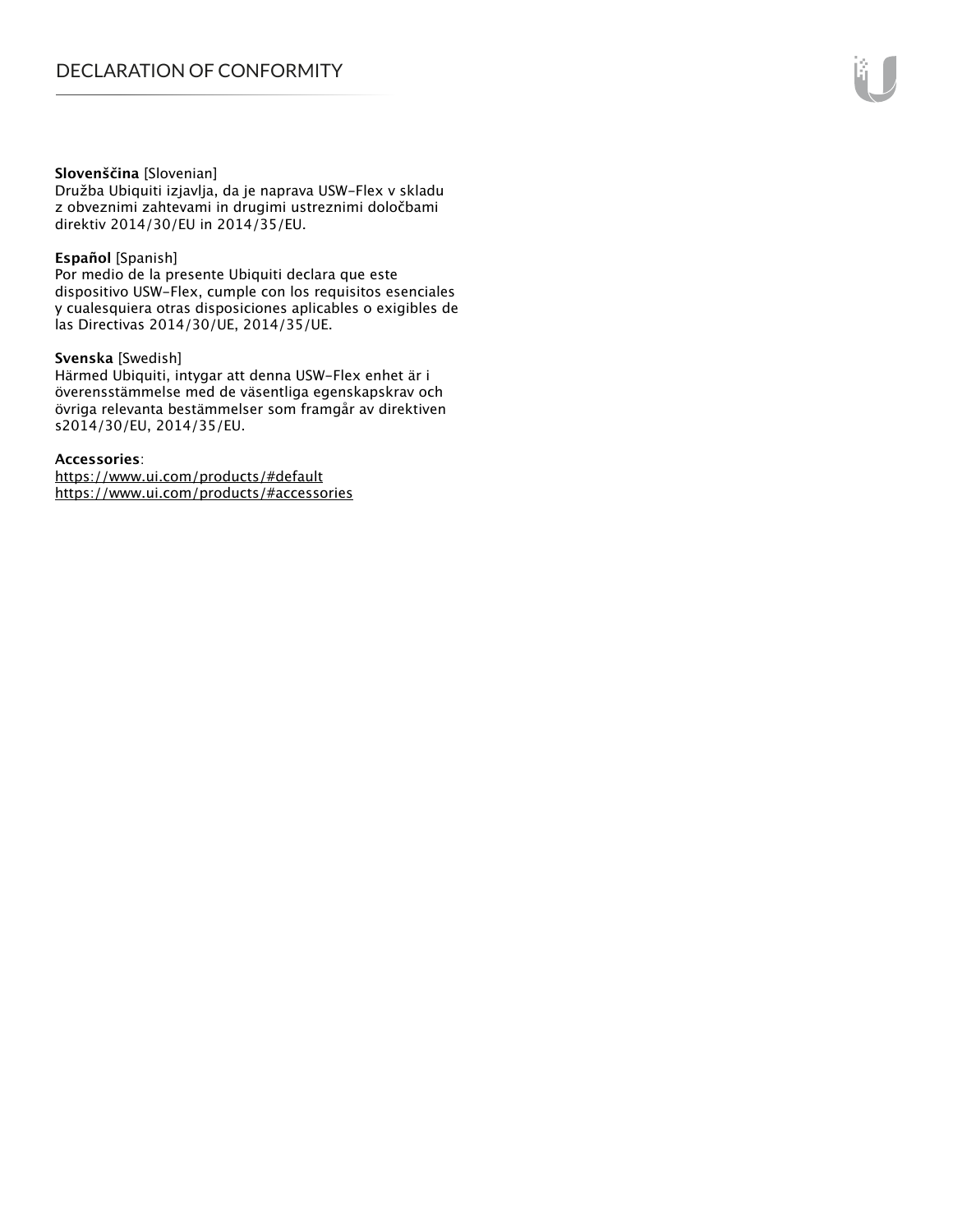#### **Slovenščina** [Slovenian]

Družba Ubiquiti izjavlja, da je naprava USW-Flex v skladu z obveznimi zahtevami in drugimi ustreznimi določbami direktiv 2014/30/EU in 2014/35/EU.

### **Español** [Spanish]

Por medio de la presente Ubiquiti declara que este dispositivo USW-Flex, cumple con los requisitos esenciales y cualesquiera otras disposiciones aplicables o exigibles de las Directivas 2014/30/UE, 2014/35/UE.

### **Svenska** [Swedish]

Härmed Ubiquiti, intygar att denna USW-Flex enhet är i överensstämmelse med de väsentliga egenskapskrav och övriga relevanta bestämmelser som framgår av direktiven s2014/30/EU, 2014/35/EU.

#### **Accessories**:

https://www.ui.com/products/#default https://www.ui.com/products/#accessories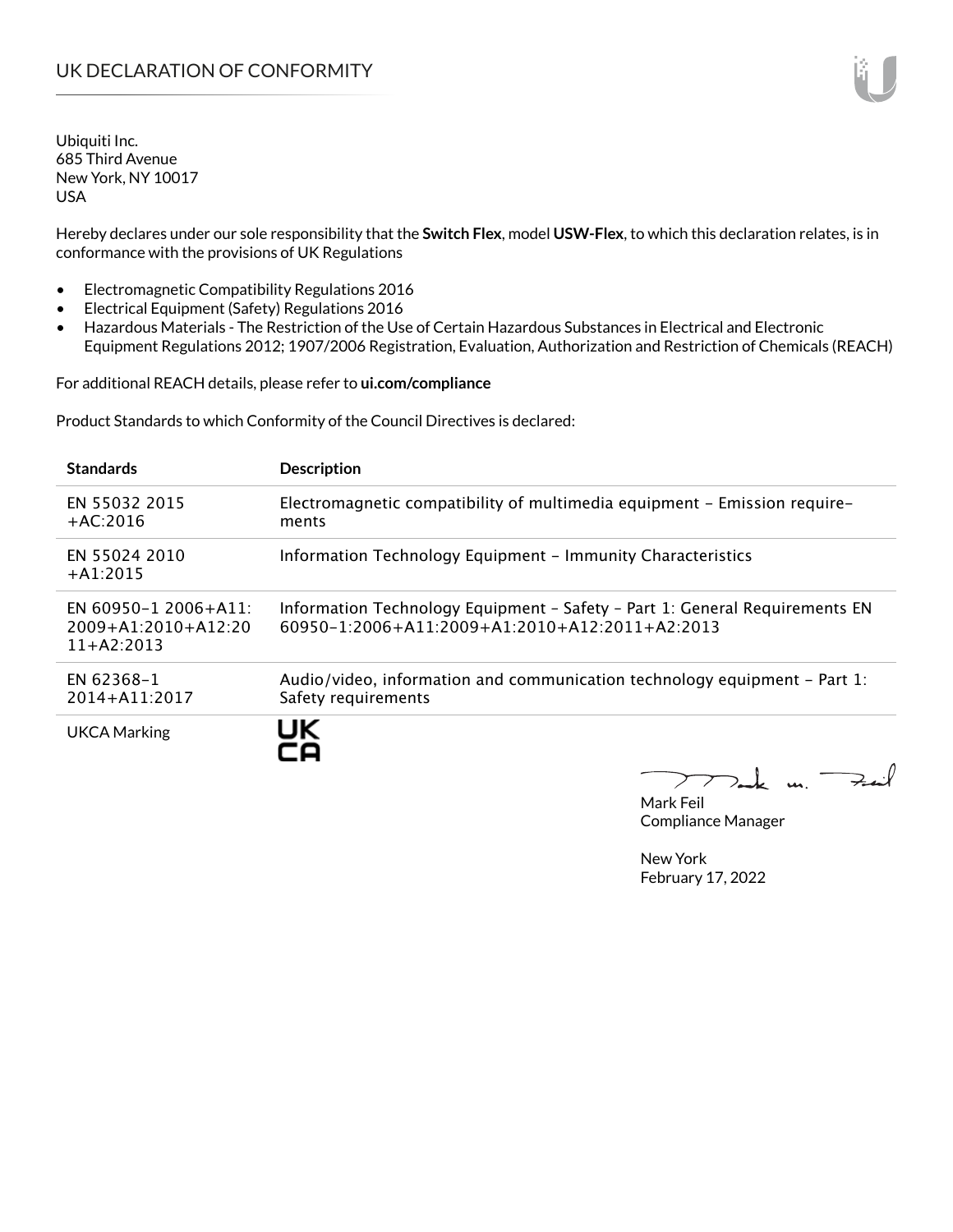Hereby declares under our sole responsibility that the **Switch Flex**, model **USW-Flex**, to which this declaration relates, is in conformance with the provisions of UK Regulations

- Electromagnetic Compatibility Regulations 2016
- Electrical Equipment (Safety) Regulations 2016
- Hazardous Materials The Restriction of the Use of Certain Hazardous Substances in Electrical and Electronic Equipment Regulations 2012; 1907/2006 Registration, Evaluation, Authorization and Restriction of Chemicals (REACH)

For additional REACH details, please refer to **ui.com/compliance**

Product Standards to which Conformity of the Council Directives is declared:

| <b>Standards</b>                                                  | <b>Description</b>                                                                                                                        |
|-------------------------------------------------------------------|-------------------------------------------------------------------------------------------------------------------------------------------|
| EN 55032 2015<br>$+AC:2016$                                       | Electromagnetic compatibility of multimedia equipment – Emission require–<br>ments                                                        |
| EN 55024 2010<br>$+A1:2015$                                       | Information Technology Equipment - Immunity Characteristics                                                                               |
| EN 60950-1 2006+A11:<br>$2009 + A1:2010 + A12:20$<br>$11+AA:2013$ | Information Technology Equipment - Safety - Part 1: General Requirements EN<br>$60950 - 1:2006 + A11:2009 + A1:2010 + A12:2011 + A2:2013$ |
| EN 62368-1<br>2014+A11:2017                                       | Audio/video, information and communication technology equipment – Part 1:<br>Safety requirements                                          |
| <b>UKCA Marking</b>                                               | UK                                                                                                                                        |

Mak un.  $7.4$ 

Mark Feil Compliance Manager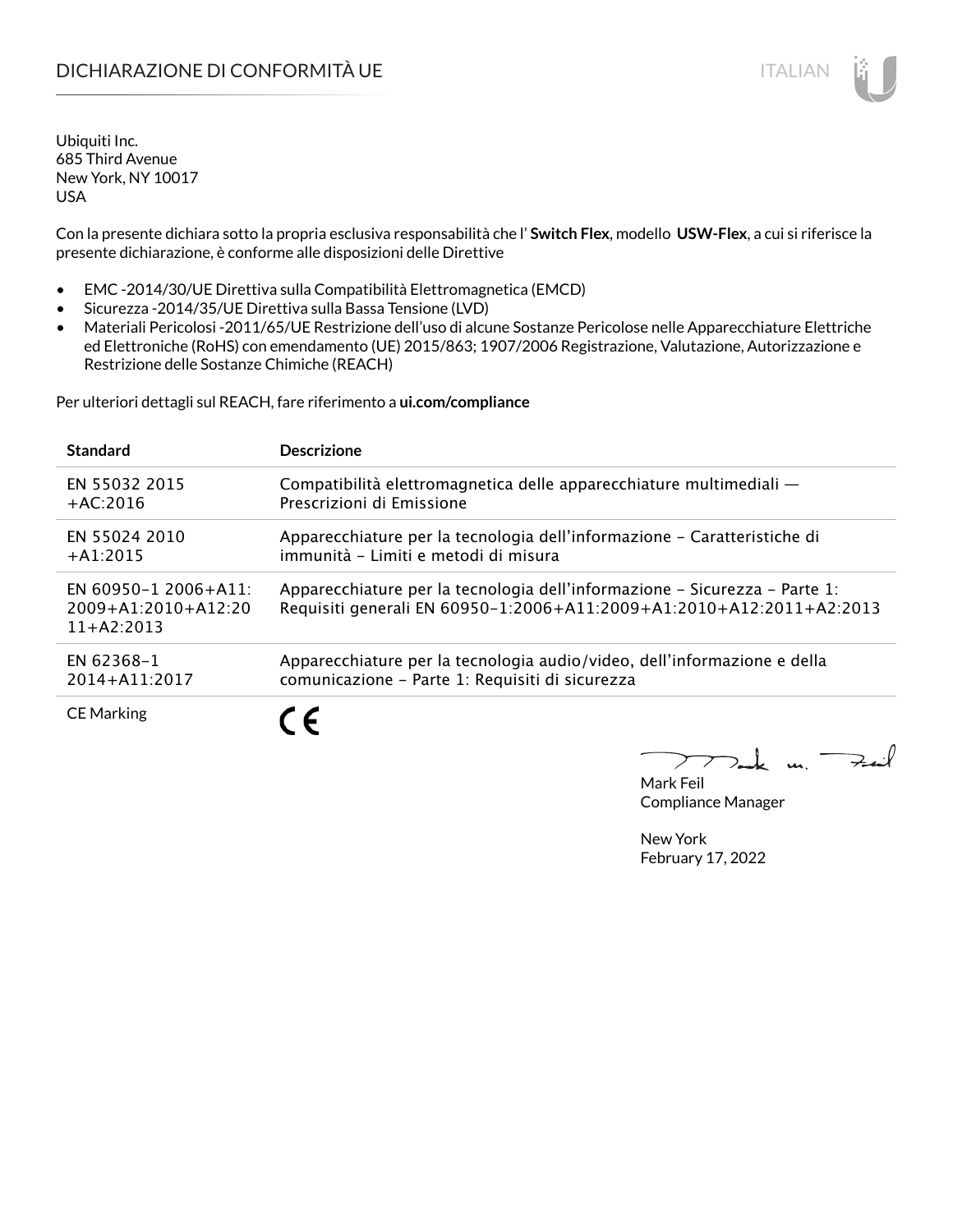Con la presente dichiara sotto la propria esclusiva responsabilità che l' **Switch Flex**, modello **USW-Flex**, a cui si riferisce la presente dichiarazione, è conforme alle disposizioni delle Direttive

- EMC -2014/30/UE Direttiva sulla Compatibilità Elettromagnetica (EMCD)
- Sicurezza -2014/35/UE Direttiva sulla Bassa Tensione (LVD)
- Materiali Pericolosi -2011/65/UE Restrizione dell'uso di alcune Sostanze Pericolose nelle Apparecchiature Elettriche ed Elettroniche (RoHS) con emendamento (UE) 2015/863; 1907/2006 Registrazione, Valutazione, Autorizzazione e Restrizione delle Sostanze Chimiche (REACH)

Per ulteriori dettagli sul REACH, fare riferimento a **ui.com/compliance**

| <b>Standard</b>                                                   | <b>Descrizione</b>                                                                                                                                 |
|-------------------------------------------------------------------|----------------------------------------------------------------------------------------------------------------------------------------------------|
| EN 55032 2015                                                     | Compatibilità elettromagnetica delle apparecchiature multimediali —                                                                                |
| $+AC:2016$                                                        | Prescrizioni di Emissione                                                                                                                          |
| EN 55024 2010                                                     | Apparecchiature per la tecnologia dell'informazione – Caratteristiche di                                                                           |
| $+A1:2015$                                                        | immunità - Limiti e metodi di misura                                                                                                               |
| EN 60950-1 2006+A11:<br>$2009 + A1:2010 + A12:20$<br>$11+AA:2013$ | Apparecchiature per la tecnologia dell'informazione – Sicurezza – Parte 1:<br>Requisiti generali EN 60950-1:2006+A11:2009+A1:2010+A12:2011+A2:2013 |
| EN 62368-1                                                        | Apparecchiature per la tecnologia audio/video, dell'informazione e della                                                                           |
| 2014+A11:2017                                                     | comunicazione - Parte 1: Requisiti di sicurezza                                                                                                    |
| <b>CE Marking</b>                                                 | ╺                                                                                                                                                  |

 $\mathbf{u}$ 

Mark Feil Compliance Manager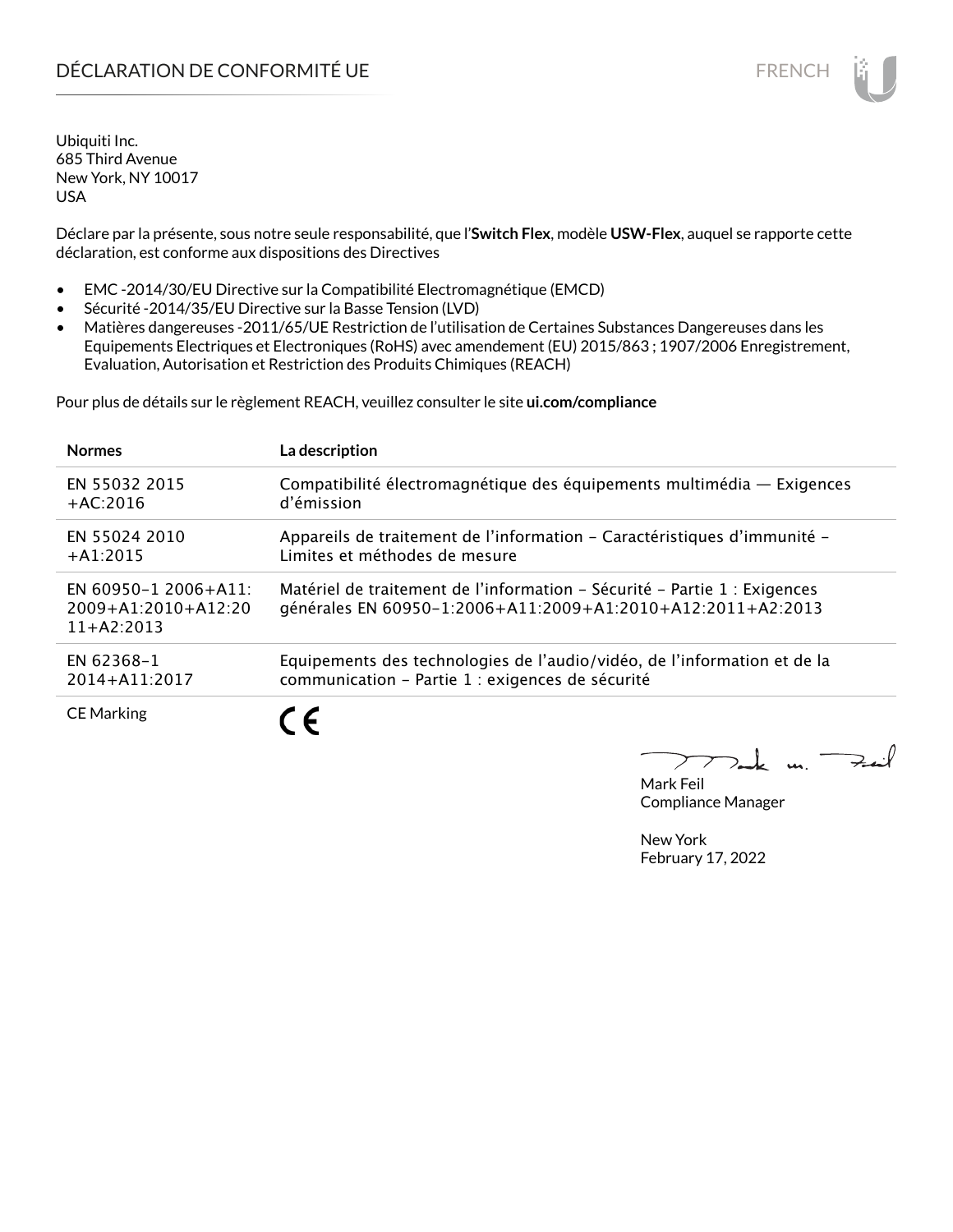Déclare par la présente, sous notre seule responsabilité, que l'**Switch Flex**, modèle **USW-Flex**, auquel se rapporte cette déclaration, est conforme aux dispositions des Directives

- EMC -2014/30/EU Directive sur la Compatibilité Electromagnétique (EMCD)
- Sécurité -2014/35/EU Directive sur la Basse Tension (LVD)
- Matières dangereuses -2011/65/UE Restriction de l'utilisation de Certaines Substances Dangereuses dans les Equipements Electriques et Electroniques (RoHS) avec amendement (EU) 2015/863 ; 1907/2006 Enregistrement, Evaluation, Autorisation et Restriction des Produits Chimiques (REACH)

Pour plus de détails sur le règlement REACH, veuillez consulter le site **ui.com/compliance**

| <b>Normes</b>                                                 | La description                                                                                                                           |
|---------------------------------------------------------------|------------------------------------------------------------------------------------------------------------------------------------------|
| EN 55032 2015                                                 | Compatibilité électromagnétique des équipements multimédia - Exigences                                                                   |
| $+AC:2016$                                                    | d'émission                                                                                                                               |
| EN 55024 2010                                                 | Appareils de traitement de l'information – Caractéristiques d'immunité –                                                                 |
| $+A1:2015$                                                    | Limites et méthodes de mesure                                                                                                            |
| EN 60950-1 2006+A11:<br>$2009+A1:2010+A12:20$<br>$11+42:2013$ | Matériel de traitement de l'information - Sécurité - Partie 1 : Exigences<br>générales EN 60950-1:2006+A11:2009+A1:2010+A12:2011+A2:2013 |
| EN 62368-1                                                    | Equipements des technologies de l'audio/vidéo, de l'information et de la                                                                 |
| 2014+A11:2017                                                 | communication - Partie 1 : exigences de sécurité                                                                                         |
| <b>CE Marking</b>                                             | $\epsilon$                                                                                                                               |

 $\overline{\mathbf{u}}$ 

Mark Feil Compliance Manager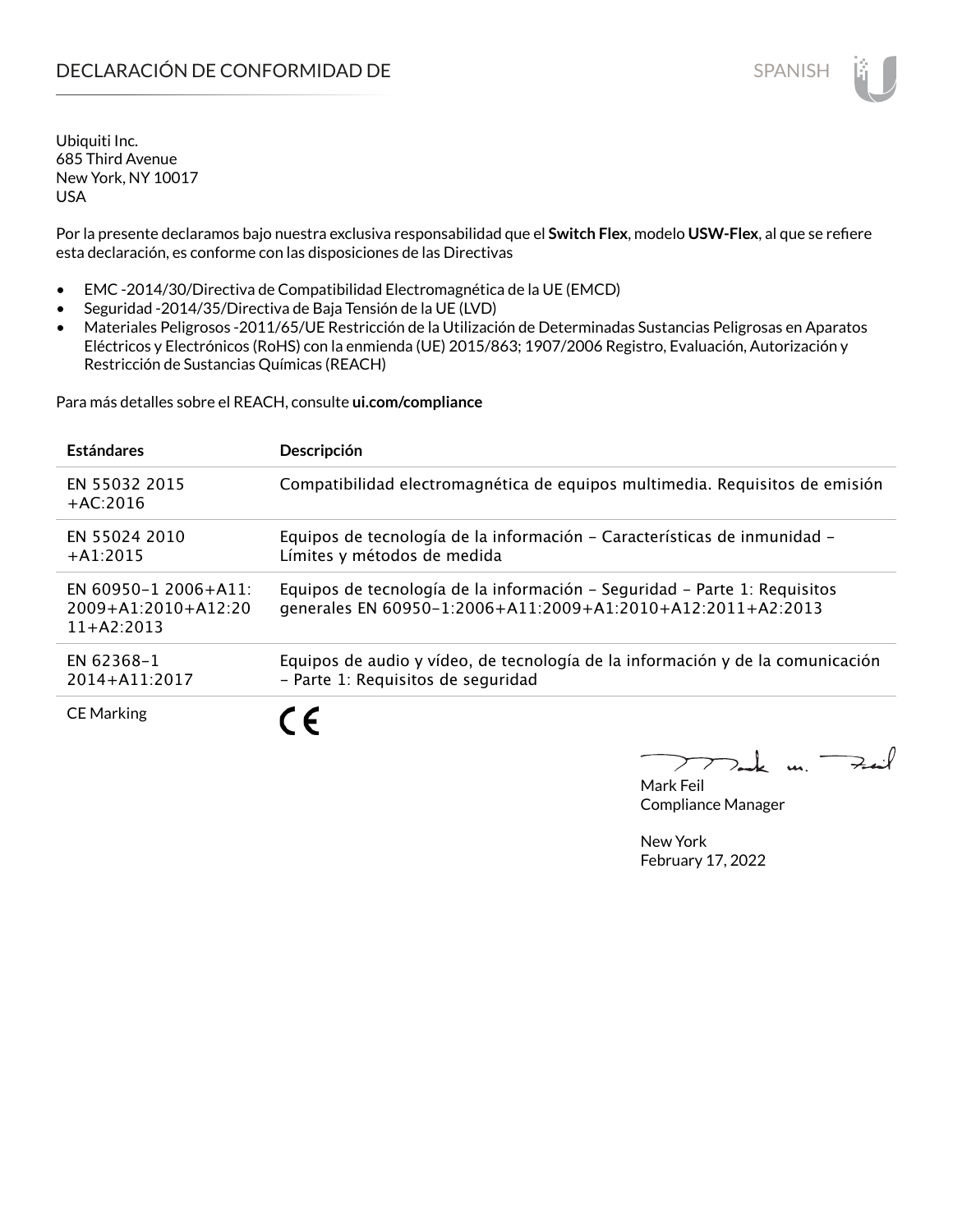Por la presente declaramos bajo nuestra exclusiva responsabilidad que el **Switch Flex**, modelo **USW-Flex**, al que se refiere esta declaración, es conforme con las disposiciones de las Directivas

- EMC -2014/30/Directiva de Compatibilidad Electromagnética de la UE (EMCD)
- Seguridad -2014/35/Directiva de Baja Tensión de la UE (LVD)
- Materiales Peligrosos -2011/65/UE Restricción de la Utilización de Determinadas Sustancias Peligrosas en Aparatos Eléctricos y Electrónicos (RoHS) con la enmienda (UE) 2015/863; 1907/2006 Registro, Evaluación, Autorización y Restricción de Sustancias Químicas (REACH)

Para más detalles sobre el REACH, consulte **ui.com/compliance**

| <b>Estándares</b>                                             | Descripción                                                                                                                              |
|---------------------------------------------------------------|------------------------------------------------------------------------------------------------------------------------------------------|
| EN 55032 2015<br>$+AC:2016$                                   | Compatibilidad electromagnética de equipos multimedia. Requisitos de emisión                                                             |
| EN 55024 2010<br>$+A1:2015$                                   | Equipos de tecnología de la información - Características de inmunidad -<br>Límites y métodos de medida                                  |
| EN 60950-1 2006+A11:<br>$2009+A1:2010+A12:20$<br>$11+AA:2013$ | Equipos de tecnología de la información - Seguridad - Parte 1: Requisitos<br>generales EN 60950-1:2006+A11:2009+A1:2010+A12:2011+A2:2013 |
| EN 62368-1<br>2014+A11:2017                                   | Equipos de audio y vídeo, de tecnología de la información y de la comunicación<br>- Parte 1: Requisitos de seguridad                     |
| <b>CE Marking</b>                                             |                                                                                                                                          |

m. Fail

Mark Feil Compliance Manager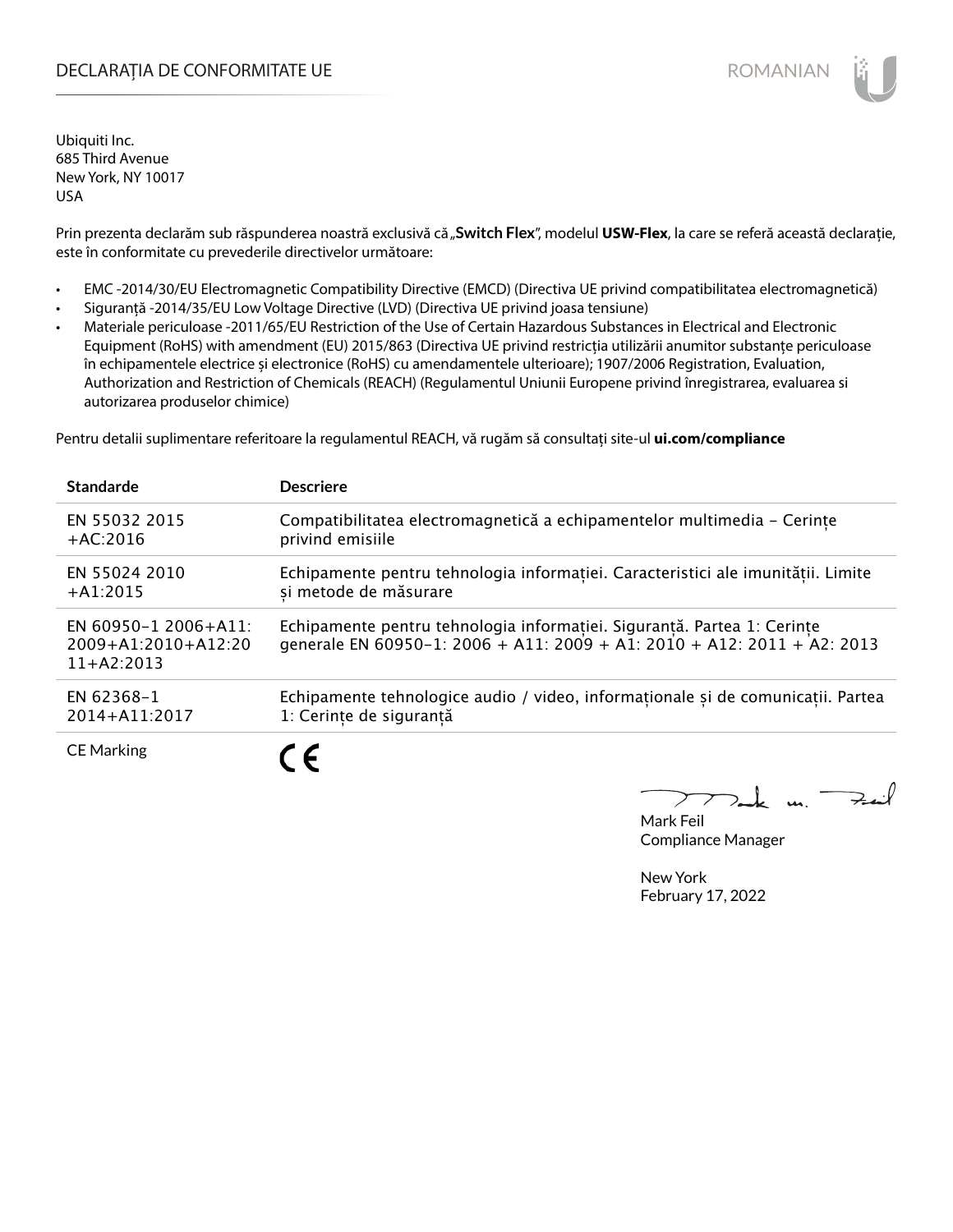# DECLARAȚIA DE CONFORMITATE UE EXECUTE DE ROMANIAN

Ubiquiti Inc. 685 Third Avenue New York, NY 10017 USA

Prin prezenta declarăm sub răspunderea noastră exclusivă că "Switch Flex", modelul USW-Flex, la care se referă această declarație, este în conformitate cu prevederile directivelor următoare:

- EMC -2014/30/EU Electromagnetic Compatibility Directive (EMCD) (Directiva UE privind compatibilitatea electromagnetică)
- Siguranță -2014/35/EU Low Voltage Directive (LVD) (Directiva UE privind joasa tensiune)
- Materiale periculoase -2011/65/EU Restriction of the Use of Certain Hazardous Substances in Electrical and Electronic Equipment (RoHS) with amendment (EU) 2015/863 (Directiva UE privind restricția utilizării anumitor substanțe periculoase în echipamentele electrice și electronice (RoHS) cu amendamentele ulterioare); 1907/2006 Registration, Evaluation, Authorization and Restriction of Chemicals (REACH) (Regulamentul Uniunii Europene privind înregistrarea, evaluarea si autorizarea produselor chimice)

Pentru detalii suplimentare referitoare la regulamentul REACH, vă rugăm să consultați site-ul **ui.com/compliance**

| <b>Standarde</b>                                              | <b>Descriere</b>                                                                                                                                   |
|---------------------------------------------------------------|----------------------------------------------------------------------------------------------------------------------------------------------------|
| EN 55032 2015                                                 | Compatibilitatea electromagnetică a echipamentelor multimedia - Cerințe                                                                            |
| $+AC:2016$                                                    | privind emisiile                                                                                                                                   |
| EN 55024 2010                                                 | Echipamente pentru tehnologia informatiei. Caracteristici ale imunitătii. Limite                                                                   |
| $+A1:2015$                                                    | si metode de măsurare                                                                                                                              |
| EN 60950-1 2006+A11:<br>$2009+A1:2010+A12:20$<br>$11+42:2013$ | Echipamente pentru tehnologia informației. Siguranță. Partea 1: Cerințe<br>generale EN 60950-1: 2006 + A11: 2009 + A1: 2010 + A12: 2011 + A2: 2013 |
| EN 62368-1                                                    | Echipamente tehnologice audio / video, informaționale și de comunicații. Partea                                                                    |
| 2014+A11:2017                                                 | 1: Cerințe de siguranță                                                                                                                            |
| <b>CE Marking</b>                                             | . .                                                                                                                                                |

 $k$  un  $\rightarrow$ 

Mark Feil Compliance Manager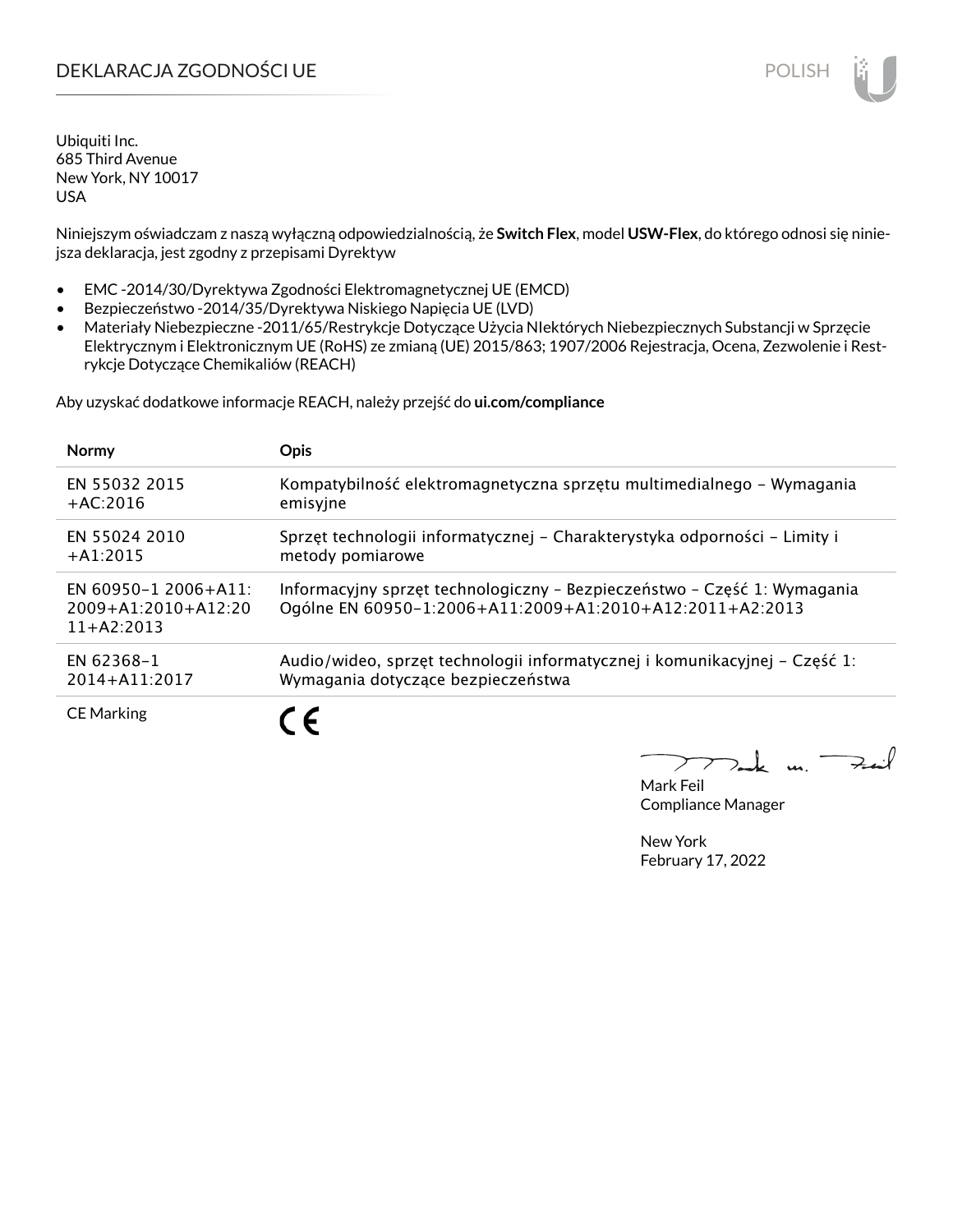# DEKLARACJA ZGODNOŚCI UE POLISH POLISH

Ubiquiti Inc. 685 Third Avenue New York, NY 10017 USA

Niniejszym oświadczam z naszą wyłączną odpowiedzialnością, że **Switch Flex**, model **USW-Flex**, do którego odnosi się niniejsza deklaracja, jest zgodny z przepisami Dyrektyw

- EMC -2014/30/Dyrektywa Zgodności Elektromagnetycznej UE (EMCD)
- Bezpieczeństwo -2014/35/Dyrektywa Niskiego Napięcia UE (LVD)
- Materiały Niebezpieczne -2011/65/Restrykcje Dotyczące Użycia NIektórych Niebezpiecznych Substancji w Sprzęcie Elektrycznym i Elektronicznym UE (RoHS) ze zmianą (UE) 2015/863; 1907/2006 Rejestracja, Ocena, Zezwolenie i Restrykcje Dotyczące Chemikaliów (REACH)

Aby uzyskać dodatkowe informacje REACH, należy przejść do **ui.com/compliance**

| <b>Normy</b>                                                      | <b>Opis</b>                                                                                                                          |
|-------------------------------------------------------------------|--------------------------------------------------------------------------------------------------------------------------------------|
| EN 55032 2015                                                     | Kompatybilność elektromagnetyczna sprzętu multimedialnego – Wymagania                                                                |
| $+AC:2016$                                                        | emisyjne                                                                                                                             |
| EN 55024 2010                                                     | Sprzęt technologii informatycznej – Charakterystyka odporności – Limity i                                                            |
| $+A1:2015$                                                        | metody pomiarowe                                                                                                                     |
| EN 60950-1 2006+A11:<br>$2009 + A1:2010 + A12:20$<br>$11+AA:2013$ | Informacyjny sprzęt technologiczny - Bezpieczeństwo - Część 1: Wymagania<br>Ogólne EN 60950-1:2006+A11:2009+A1:2010+A12:2011+A2:2013 |
| EN 62368-1                                                        | Audio/wideo, sprzęt technologii informatycznej i komunikacyjnej – Część 1:                                                           |
| 2014+A11:2017                                                     | Wymagania dotyczące bezpieczeństwa                                                                                                   |
| <b>CE Marking</b>                                                 |                                                                                                                                      |

Mark Feil Compliance Manager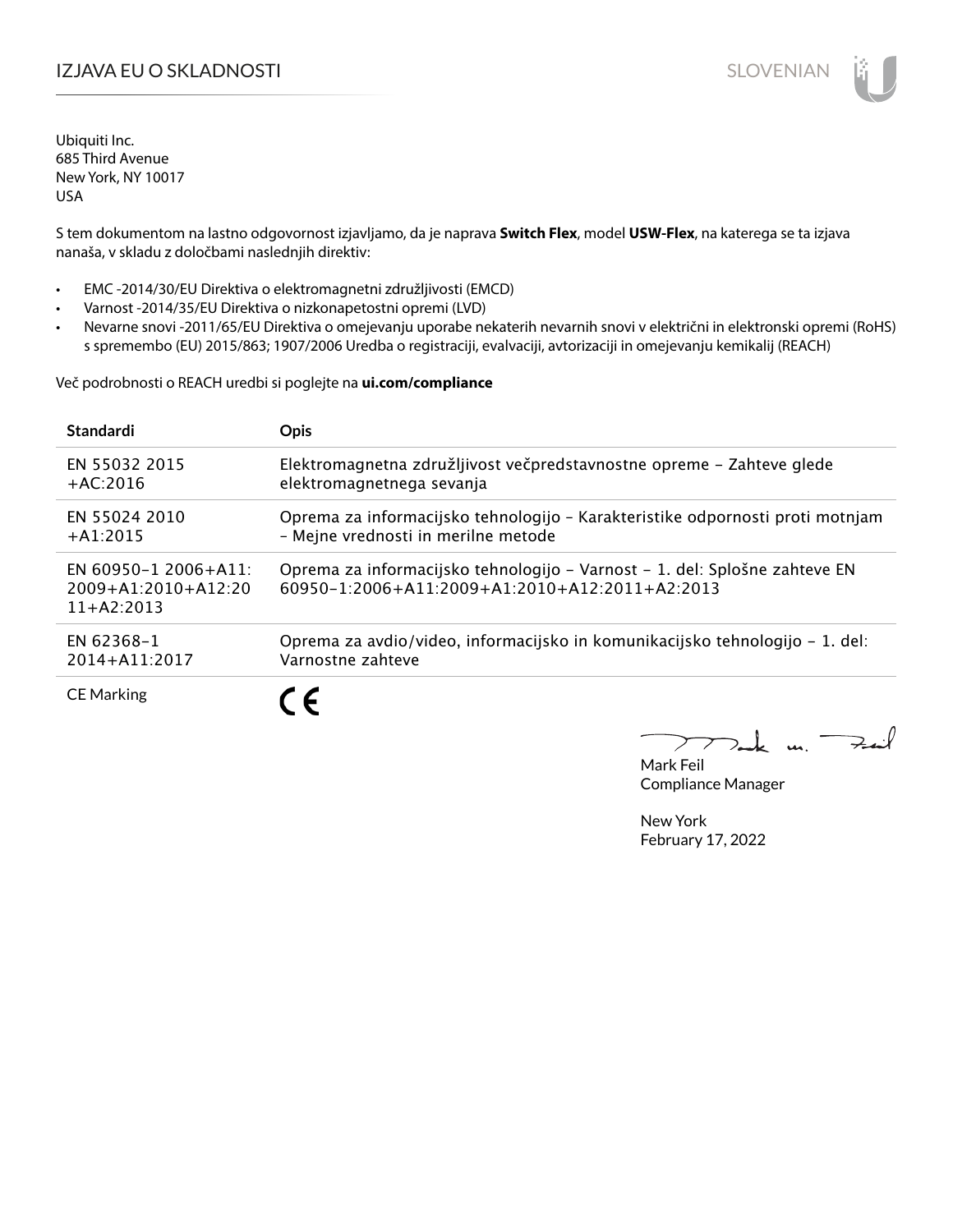# IZJAVA EU O SKLADNOSTI SLOVENIAN

Ubiquiti Inc. 685 Third Avenue New York, NY 10017 USA

S tem dokumentom na lastno odgovornost izjavljamo, da je naprava **Switch Flex**, model **USW-Flex**, na katerega se ta izjava nanaša, v skladu z določbami naslednjih direktiv:

- EMC -2014/30/EU Direktiva o elektromagnetni združljivosti (EMCD)
- Varnost -2014/35/EU Direktiva o nizkonapetostni opremi (LVD)
- Nevarne snovi -2011/65/EU Direktiva o omejevanju uporabe nekaterih nevarnih snovi v električni in elektronski opremi (RoHS) s spremembo (EU) 2015/863; 1907/2006 Uredba o registraciji, evalvaciji, avtorizaciji in omejevanju kemikalij (REACH)

Več podrobnosti o REACH uredbi si poglejte na **ui.com/compliance**

| <b>Standardi</b>                                                  | <b>Opis</b>                                                                                                                              |
|-------------------------------------------------------------------|------------------------------------------------------------------------------------------------------------------------------------------|
| <b>EN 55032 2015</b>                                              | Elektromagnetna združljivost večpredstavnostne opreme - Zahteve glede                                                                    |
| $+AC:2016$                                                        | elektromagnetnega sevanja                                                                                                                |
| FN 55024 2010                                                     | Oprema za informacijsko tehnologijo - Karakteristike odpornosti proti motnjam                                                            |
| $+$ A1:2015                                                       | - Mejne vrednosti in merilne metode                                                                                                      |
| EN 60950-1 2006+A11:<br>$2009 + A1:2010 + A12:20$<br>$11+AA:2013$ | Oprema za informacijsko tehnologijo – Varnost – 1. del: Splošne zahteve EN<br>$60950 - 1:2006 + A11:2009 + A1:2010 + A12:2011 + A2:2013$ |
| EN 62368-1                                                        | Oprema za avdio/video, informacijsko in komunikacijsko tehnologijo – 1. del:                                                             |
| $2014 + A11:2017$                                                 | Varnostne zahteve                                                                                                                        |
| <b>CE Marking</b>                                                 | C F                                                                                                                                      |

m. Fail

Mark Feil Compliance Manager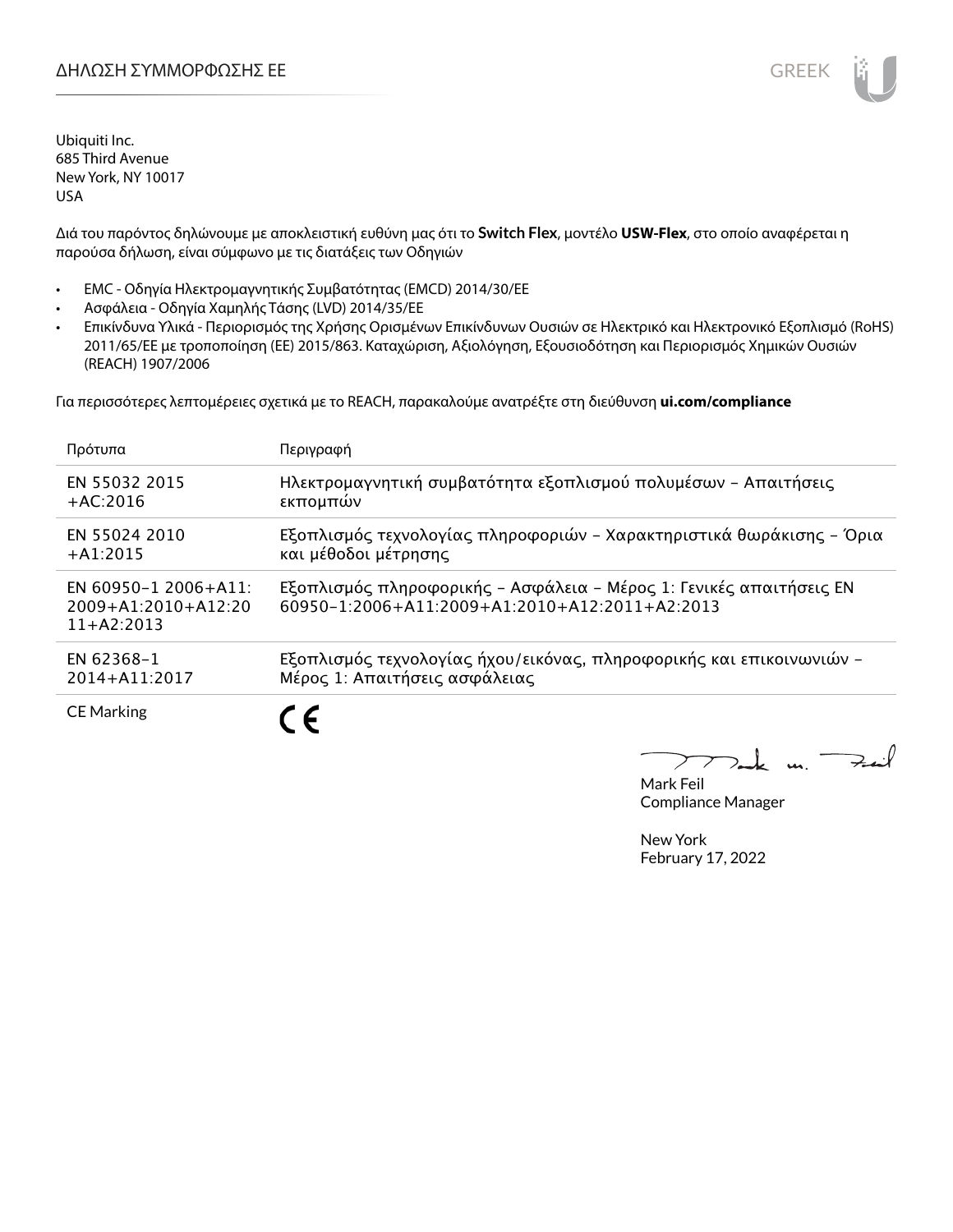Διά του παρόντος δηλώνουμε με αποκλειστική ευθύνη μας ότι το **Switch Flex**, μοντέλο **USW-Flex**, στο οποίο αναφέρεται η παρούσα δήλωση, είναι σύμφωνο με τις διατάξεις των Οδηγιών

- EMC Οδηγία Ηλεκτρομαγνητικής Συμβατότητας (EMCD) 2014/30/ΕΕ
- Ασφάλεια Οδηγία Χαμηλής Τάσης (LVD) 2014/35/ΕΕ
- Επικίνδυνα Υλικά Περιορισμός της Χρήσης Ορισμένων Επικίνδυνων Ουσιών σε Ηλεκτρικό και Ηλεκτρονικό Εξοπλισμό (RoHS) 2011/65/ΕΕ με τροποποίηση (ΕΕ) 2015/863. Καταχώριση, Αξιολόγηση, Εξουσιοδότηση και Περιορισμός Χημικών Ουσιών (REACH) 1907/2006

Για περισσότερες λεπτομέρειες σχετικά με το REACH, παρακαλούμε ανατρέξτε στη διεύθυνση **ui.com/compliance**

| Πρότυπα                                                     | Περιγραφή                                                                                                                         |
|-------------------------------------------------------------|-----------------------------------------------------------------------------------------------------------------------------------|
| EN 55032 2015                                               | Ηλεκτρομαγνητική συμβατότητα εξοπλισμού πολυμέσων - Απαιτήσεις                                                                    |
| $+AC:2016$                                                  | εκπομπών                                                                                                                          |
| EN 55024 2010                                               | Εξοπλισμός τεχνολογίας πληροφοριών - Χαρακτηριστικά θωράκισης - Όρια                                                              |
| $+A1:2015$                                                  | και μέθοδοι μέτρησης                                                                                                              |
| EN 60950-1 2006+A11:<br>2009+A1:2010+A12:20<br>$11+AA:2013$ | Εξοπλισμός πληροφορικής - Ασφάλεια - Μέρος 1: Γενικές απαιτήσεις ΕΝ<br>$60950 - 1:2006 + A11:2009 + A1:2010 + A12:2011 + A2:2013$ |
| EN 62368-1                                                  | Εξοπλισμός τεχνολογίας ήχου/εικόνας, πληροφορικής και επικοινωνιών -                                                              |
| 2014+A11:2017                                               | Μέρος 1: Απαιτήσεις ασφάλειας                                                                                                     |
| <b>CE Marking</b>                                           |                                                                                                                                   |

 $\overline{u}$ . Fail

Mark Feil Compliance Manager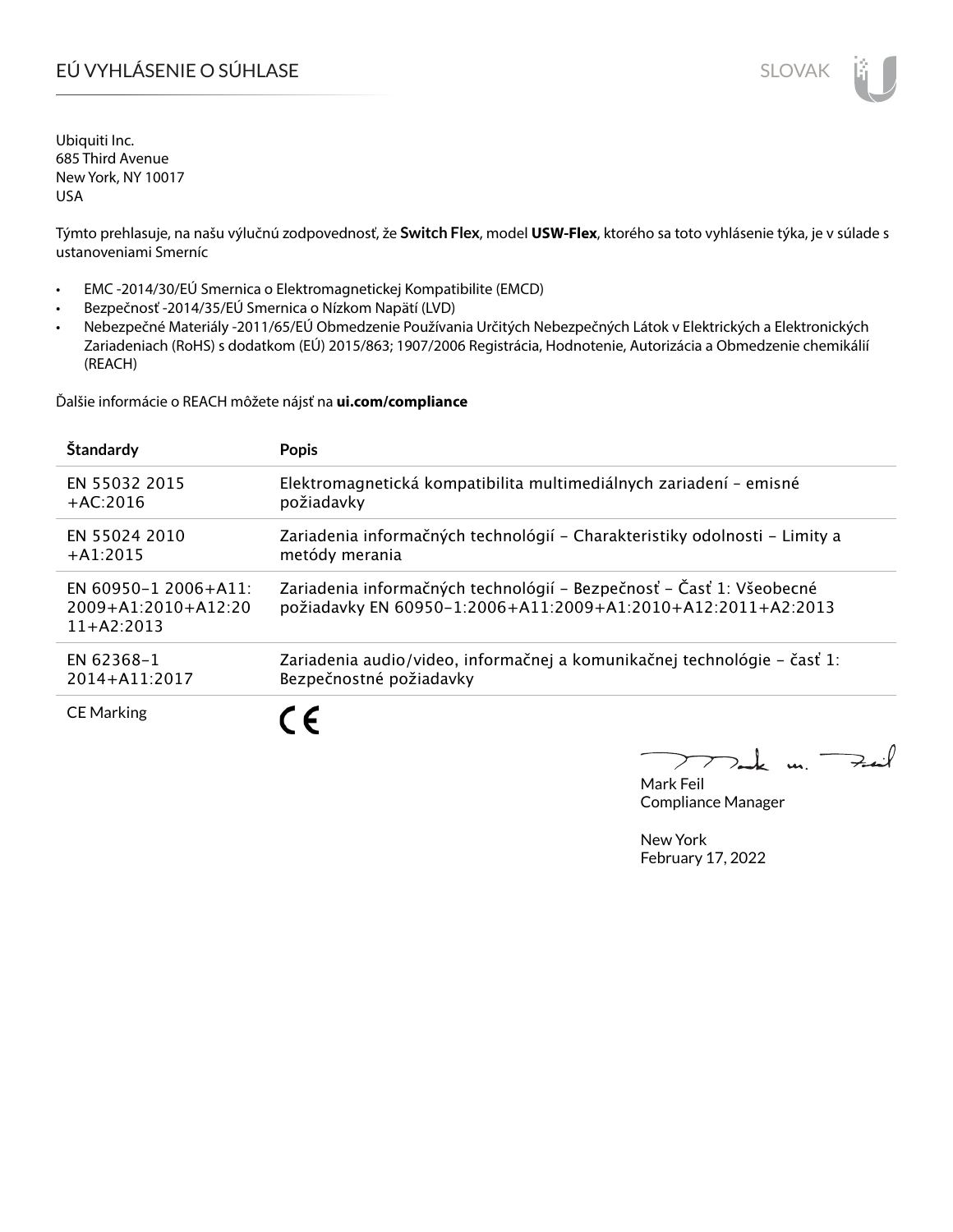# EÚ VYHLÁSENIE O SÚHLASE SLOVAK SLOVAK

Ubiquiti Inc. 685 Third Avenue New York, NY 10017 USA

Týmto prehlasuje, na našu výlučnú zodpovednosť, že **Switch Flex**, model **USW-Flex**, ktorého sa toto vyhlásenie týka, je v súlade s ustanoveniami Smerníc

- EMC -2014/30/EÚ Smernica o Elektromagnetickej Kompatibilite (EMCD)
- Bezpečnosť -2014/35/EÚ Smernica o Nízkom Napätí (LVD)
- Nebezpečné Materiály -2011/65/EÚ Obmedzenie Používania Určitých Nebezpečných Látok v Elektrických a Elektronických Zariadeniach (RoHS) s dodatkom (EÚ) 2015/863; 1907/2006 Registrácia, Hodnotenie, Autorizácia a Obmedzenie chemikálií (REACH)

Ďalšie informácie o REACH môžete nájsť na **ui.com/compliance**

| Štandardy                                                     | <b>Popis</b>                                                                                                                         |
|---------------------------------------------------------------|--------------------------------------------------------------------------------------------------------------------------------------|
| <b>EN 55032 2015</b>                                          | Elektromagnetická kompatibilita multimediálnych zariadení - emisné                                                                   |
| $+AC:2016$                                                    | požiadavky                                                                                                                           |
| EN 55024 2010                                                 | Zariadenia informačných technológií – Charakteristiky odolnosti – Limity a                                                           |
| $+A1:2015$                                                    | metódy merania                                                                                                                       |
| EN 60950-1 2006+A11:<br>$2009+A1:2010+A12:20$<br>$11+AA:2013$ | Zariadenia informačných technológií – Bezpečnosť – Časť 1: Všeobecné<br>požiadavky EN 60950-1:2006+A11:2009+A1:2010+A12:2011+A2:2013 |
| EN 62368-1                                                    | Zariadenia audio/video, informačnej a komunikačnej technológie – časť 1:                                                             |
| 2014+A11:2017                                                 | Bezpečnostné požiadavky                                                                                                              |
| <b>CE Marking</b>                                             |                                                                                                                                      |

 $u_{1}$   $\rightarrow$ 

Mark Feil Compliance Manager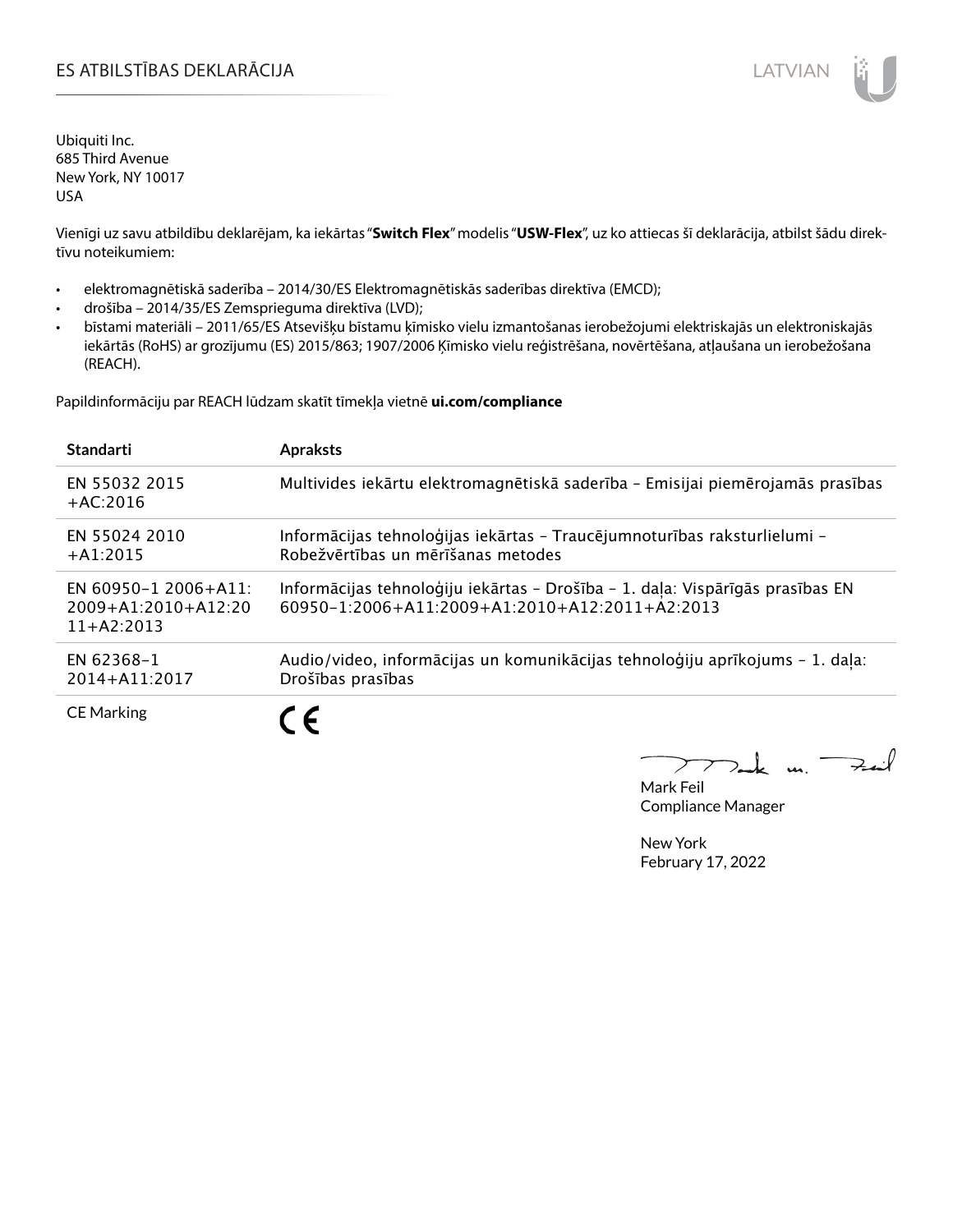# ES ATBILSTĪBAS DEKLARĀCIJA LATVIAN

Ubiquiti Inc. 685 Third Avenue New York, NY 10017 USA

Vienīgi uz savu atbildību deklarējam, ka iekārtas "**Switch Flex**" modelis "**USW-Flex**", uz ko attiecas šī deklarācija, atbilst šādu direktīvu noteikumiem:

- elektromagnētiskā saderība 2014/30/ES Elektromagnētiskās saderības direktīva (EMCD);
- drošība 2014/35/ES Zemsprieguma direktīva (LVD);
- bīstami materiāli 2011/65/ES Atsevišķu bīstamu ķīmisko vielu izmantošanas ierobežojumi elektriskajās un elektroniskajās iekārtās (RoHS) ar grozījumu (ES) 2015/863; 1907/2006 Ķīmisko vielu reģistrēšana, novērtēšana, atļaušana un ierobežošana (REACH).

Papildinformāciju par REACH lūdzam skatīt tīmekļa vietnē **ui.com/compliance**

| <b>Standarti</b>                                                  | <b>Apraksts</b>                                                                                                                 |
|-------------------------------------------------------------------|---------------------------------------------------------------------------------------------------------------------------------|
| EN 55032 2015<br>$+AC:2016$                                       | Multivides iekārtu elektromagnētiskā saderība - Emisijai piemērojamās prasības                                                  |
| EN 55024 2010<br>$+$ A1:2015                                      | Informācijas tehnoloģijas iekārtas - Traucējumnoturības raksturlielumi -<br>Robežvērtības un mērīšanas metodes                  |
| EN 60950-1 2006+A11:<br>$2009 + A1:2010 + A12:20$<br>$11+42:2013$ | Informācijas tehnoloģiju iekārtas - Drošība - 1. daļa: Vispārīgās prasības EN<br>60950-1:2006+A11:2009+A1:2010+A12:2011+A2:2013 |
| EN 62368-1<br>2014+A11:2017                                       | Audio/video, informācijas un komunikācijas tehnoloģiju aprīkojums - 1. daļa:<br>Drošības prasības                               |
| <b>CE Marking</b>                                                 | $\epsilon$                                                                                                                      |

m. Fail

Mark Feil Compliance Manager